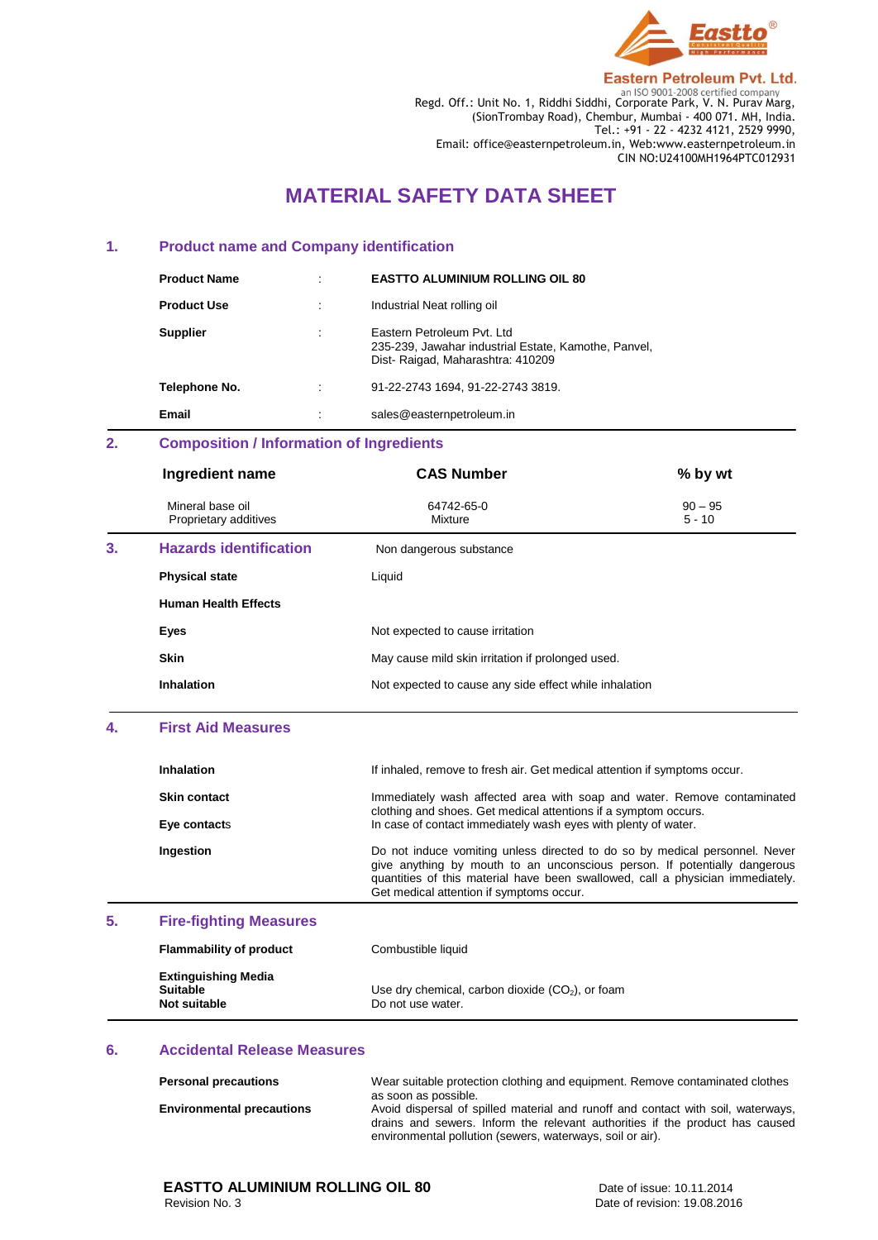

Regd. Off.: Unit No. 1, Riddhi Siddhi, Corporate Park, V. N. Purav Marg, (SionTrombay Road), Chembur, Mumbai - 400 071. MH, India. Tel.: +91 - 22 - 4232 4121, 2529 9990, Email: office@easternpetroleum.in, Web:www.easternpetroleum.in CIN NO:U24100MH1964PTC012931

# **MATERIAL SAFETY DATA SHEET**

## **1. Product name and Company identification**

| <b>Product Name</b> | ٠       | <b>EASTTO ALUMINIUM ROLLING OIL 80</b>                                                                                  |
|---------------------|---------|-------------------------------------------------------------------------------------------------------------------------|
| <b>Product Use</b>  | ٠       | Industrial Neat rolling oil                                                                                             |
| <b>Supplier</b>     | $\cdot$ | Eastern Petroleum Pyt. Ltd.<br>235-239, Jawahar industrial Estate, Kamothe, Panvel,<br>Dist-Raigad, Maharashtra: 410209 |
| Telephone No.       | ٠       | 91-22-2743 1694, 91-22-2743 3819.                                                                                       |
| Email               | $\cdot$ | sales@easternpetroleum.in                                                                                               |

# **2. Composition / Information of Ingredients**

|    | Ingredient name                           | <b>CAS Number</b>                                      | % by wt               |
|----|-------------------------------------------|--------------------------------------------------------|-----------------------|
|    | Mineral base oil<br>Proprietary additives | 64742-65-0<br>Mixture                                  | $90 - 95$<br>$5 - 10$ |
| 3. | <b>Hazards identification</b>             | Non dangerous substance                                |                       |
|    | <b>Physical state</b>                     | Liquid                                                 |                       |
|    | <b>Human Health Effects</b>               |                                                        |                       |
|    | Eyes                                      | Not expected to cause irritation                       |                       |
|    | <b>Skin</b>                               | May cause mild skin irritation if prolonged used.      |                       |
|    | Inhalation                                | Not expected to cause any side effect while inhalation |                       |

## **4. First Aid Measures**

|    | <b>Inhalation</b>             | If inhaled, remove to fresh air. Get medical attention if symptoms occur.                                                                                                                                                                                                              |
|----|-------------------------------|----------------------------------------------------------------------------------------------------------------------------------------------------------------------------------------------------------------------------------------------------------------------------------------|
|    | <b>Skin contact</b>           | Immediately wash affected area with soap and water. Remove contaminated<br>clothing and shoes. Get medical attentions if a symptom occurs.                                                                                                                                             |
|    | Eye contacts                  | In case of contact immediately wash eyes with plenty of water.                                                                                                                                                                                                                         |
|    | Ingestion                     | Do not induce vomiting unless directed to do so by medical personnel. Never<br>give anything by mouth to an unconscious person. If potentially dangerous<br>quantities of this material have been swallowed, call a physician immediately.<br>Get medical attention if symptoms occur. |
| 5. | <b>Fire-fighting Measures</b> |                                                                                                                                                                                                                                                                                        |

| <b>Flammability of product</b>                                | Combustible liquid                                                      |
|---------------------------------------------------------------|-------------------------------------------------------------------------|
| <b>Extinguishing Media</b><br><b>Suitable</b><br>Not suitable | Use dry chemical, carbon dioxide $(CO2)$ , or foam<br>Do not use water. |

### **6. Accidental Release Measures**

| <b>Personal precautions</b>      | Wear suitable protection clothing and equipment. Remove contaminated clothes<br>as soon as possible.                                                                                                                          |  |  |
|----------------------------------|-------------------------------------------------------------------------------------------------------------------------------------------------------------------------------------------------------------------------------|--|--|
| <b>Environmental precautions</b> | Avoid dispersal of spilled material and runoff and contact with soil, waterways,<br>drains and sewers. Inform the relevant authorities if the product has caused<br>environmental pollution (sewers, waterways, soil or air). |  |  |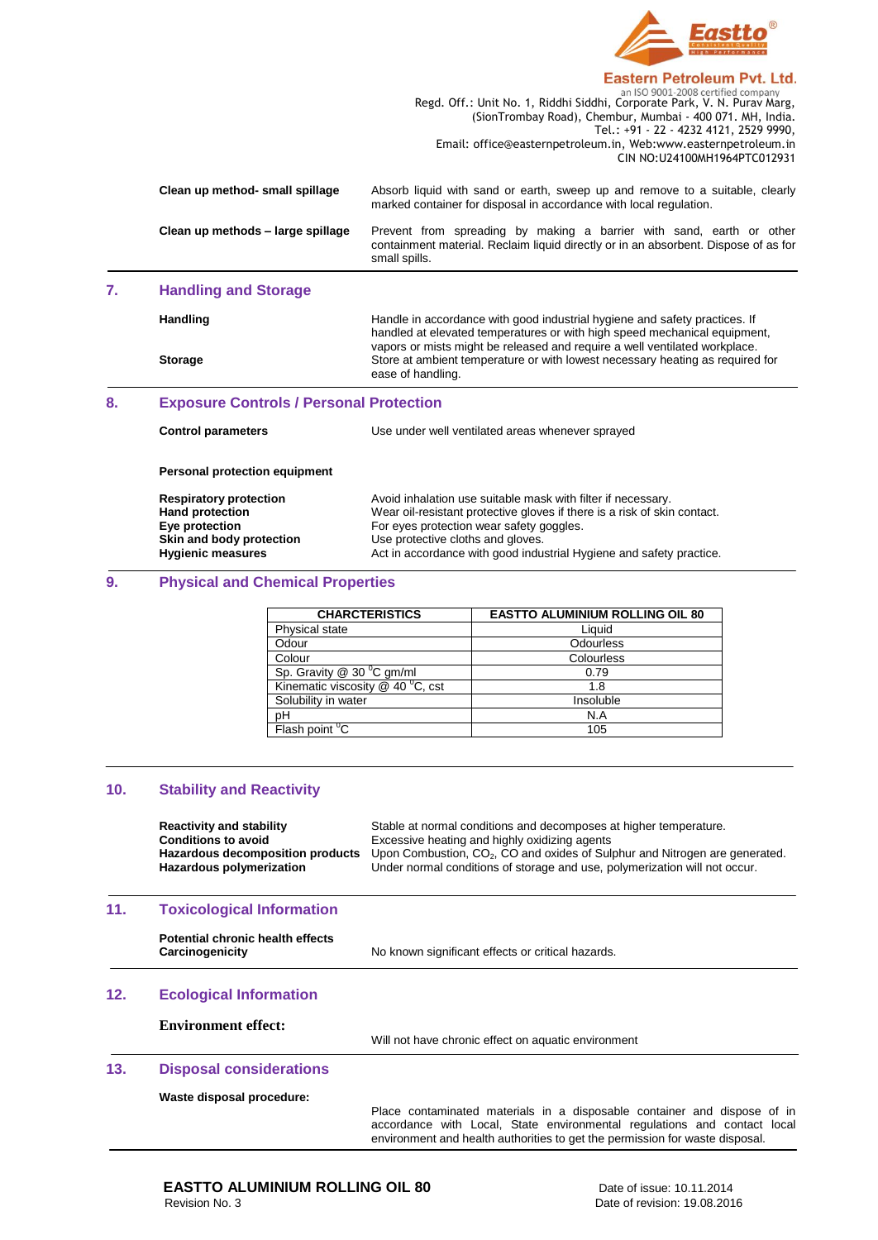

|                                   | an iso 9001-2008 certified company                                                                                                                                           |
|-----------------------------------|------------------------------------------------------------------------------------------------------------------------------------------------------------------------------|
|                                   | Regd. Off.: Unit No. 1, Riddhi Siddhi, Corporate Park, V. N. Purav Marg,                                                                                                     |
|                                   | (SionTrombay Road), Chembur, Mumbai - 400 071, MH, India.                                                                                                                    |
|                                   | Tel.: +91 - 22 - 4232 4121, 2529 9990,                                                                                                                                       |
|                                   | Email: office@easternpetroleum.in, Web:www.easternpetroleum.in                                                                                                               |
|                                   | CIN NO:U24100MH1964PTC012931                                                                                                                                                 |
| Clean up method- small spillage   | Absorb liquid with sand or earth, sweep up and remove to a suitable, clearly<br>marked container for disposal in accordance with local regulation.                           |
| Clean up methods - large spillage | Prevent from spreading by making a barrier with sand, earth or other<br>containment material. Reclaim liquid directly or in an absorbent. Dispose of as for<br>small spills. |
| <b>Handling and Storage</b>       |                                                                                                                                                                              |

### **7. Handling and Storage**

| Handle in accordance with good industrial hygiene and safety practices. If | handled at elevated temperatures or with high speed mechanical equipment,     |
|----------------------------------------------------------------------------|-------------------------------------------------------------------------------|
| <b>Handling</b>                                                            | vapors or mists might be released and require a well ventilated workplace.    |
| <b>Storage</b><br>ease of handling.                                        | Store at ambient temperature or with lowest necessary heating as required for |

# **8. Exposure Controls / Personal Protection**

| <b>Control parameters</b>                                                                                                         | Use under well ventilated areas whenever sprayed                                                                                                                                                                                                                                                 |
|-----------------------------------------------------------------------------------------------------------------------------------|--------------------------------------------------------------------------------------------------------------------------------------------------------------------------------------------------------------------------------------------------------------------------------------------------|
| Personal protection equipment                                                                                                     |                                                                                                                                                                                                                                                                                                  |
| <b>Respiratory protection</b><br><b>Hand protection</b><br>Eye protection<br>Skin and body protection<br><b>Hygienic measures</b> | Avoid inhalation use suitable mask with filter if necessary.<br>Wear oil-resistant protective gloves if there is a risk of skin contact.<br>For eyes protection wear safety goggles.<br>Use protective cloths and gloves.<br>Act in accordance with good industrial Hygiene and safety practice. |

# **9. Physical and Chemical Properties**

| <b>CHARCTERISTICS</b>                 | <b>EASTTO ALUMINIUM ROLLING OIL 80</b> |
|---------------------------------------|----------------------------------------|
| Physical state                        | Liquid                                 |
| Odour                                 | Odourless                              |
| Colour                                | Colourless                             |
| Sp. Gravity $@$ 30 $°C$ gm/ml         | 0.79                                   |
| Kinematic viscosity $@$ 40 $°C$ , cst | 1.8                                    |
| Solubility in water                   | Insoluble                              |
| pH                                    | N.A                                    |
| Flash point <sup>o</sup> C            | 105                                    |

# **10. Stability and Reactivity**

|     | <b>Reactivity and stability</b><br>Conditions to avoid<br>Hazardous decomposition products<br>Hazardous polymerization | Stable at normal conditions and decomposes at higher temperature.<br>Excessive heating and highly oxidizing agents<br>Upon Combustion, CO <sub>2</sub> , CO and oxides of Sulphur and Nitrogen are generated.<br>Under normal conditions of storage and use, polymerization will not occur. |
|-----|------------------------------------------------------------------------------------------------------------------------|---------------------------------------------------------------------------------------------------------------------------------------------------------------------------------------------------------------------------------------------------------------------------------------------|
| 11. | <b>Toxicological Information</b>                                                                                       |                                                                                                                                                                                                                                                                                             |
|     | Potential chronic health effects<br>Carcinogenicity                                                                    | No known significant effects or critical hazards.                                                                                                                                                                                                                                           |
| 12. | <b>Ecological Information</b>                                                                                          |                                                                                                                                                                                                                                                                                             |
|     | <b>Environment effect:</b>                                                                                             | Will not have chronic effect on aquatic environment                                                                                                                                                                                                                                         |
| 13. | <b>Disposal considerations</b>                                                                                         |                                                                                                                                                                                                                                                                                             |

# **Waste disposal procedure:**

Place contaminated materials in a disposable container and dispose of in accordance with Local, State environmental regulations and contact local environment and health authorities to get the permission for waste disposal.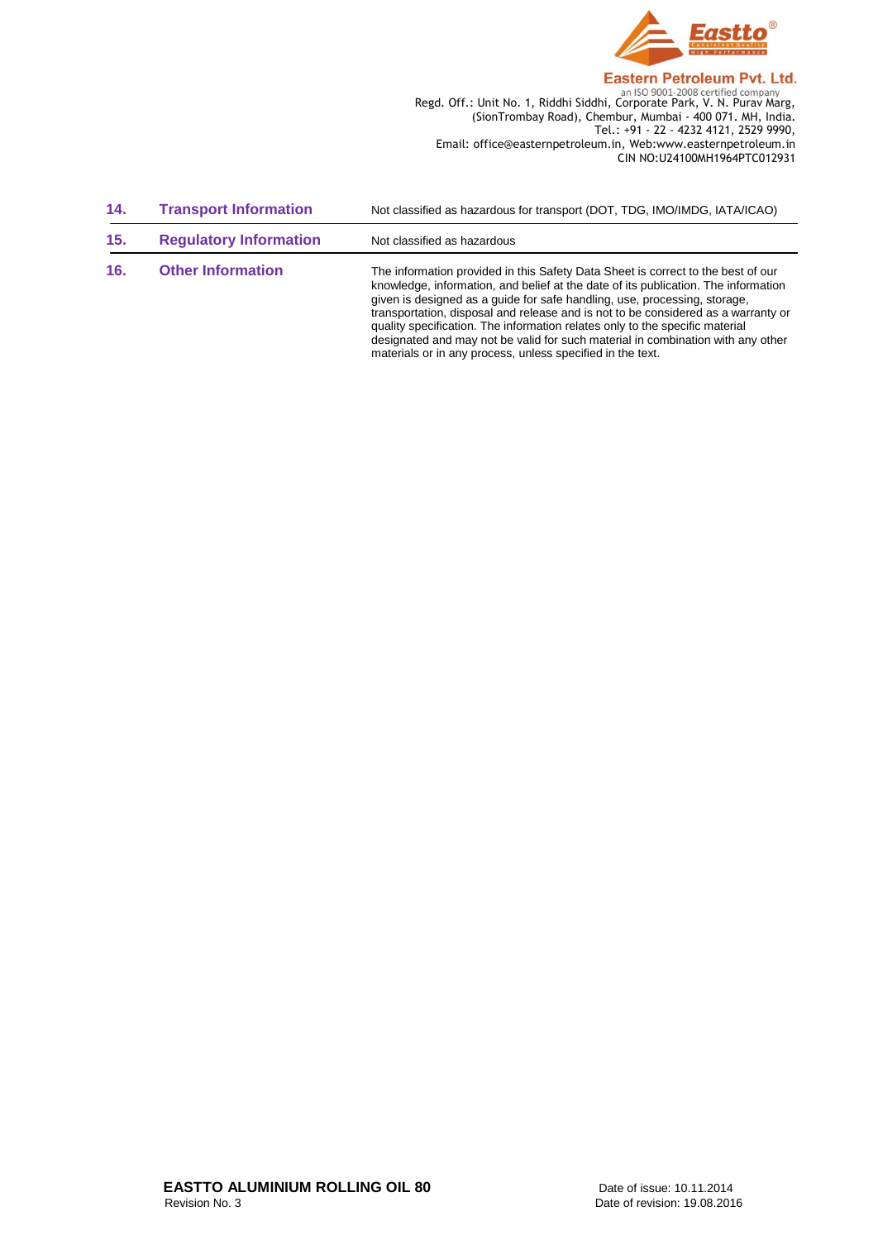

Regd. Off.: Unit No. 1, Riddhi Siddhi, Corporate Park, V. N. Purav Marg, (SionTrombay Road), Chembur, Mumbai - 400 071. MH, India. Tel.: +91 - 22 - 4232 4121, 2529 9990, Email: office@easternpetroleum.in, Web:www.easternpetroleum.in CIN NO:U24100MH1964PTC012931

| 14. | <b>Transport Information</b>  | Not classified as hazardous for transport (DOT, TDG, IMO/IMDG, IATA/ICAO)                                                                                                                                                                                                                                                                                                                                                                                                                                                                                                 |
|-----|-------------------------------|---------------------------------------------------------------------------------------------------------------------------------------------------------------------------------------------------------------------------------------------------------------------------------------------------------------------------------------------------------------------------------------------------------------------------------------------------------------------------------------------------------------------------------------------------------------------------|
| 15. | <b>Regulatory Information</b> | Not classified as hazardous                                                                                                                                                                                                                                                                                                                                                                                                                                                                                                                                               |
| 16. | <b>Other Information</b>      | The information provided in this Safety Data Sheet is correct to the best of our<br>knowledge, information, and belief at the date of its publication. The information<br>given is designed as a guide for safe handling, use, processing, storage,<br>transportation, disposal and release and is not to be considered as a warranty or<br>quality specification. The information relates only to the specific material<br>designated and may not be valid for such material in combination with any other<br>materials or in any process, unless specified in the text. |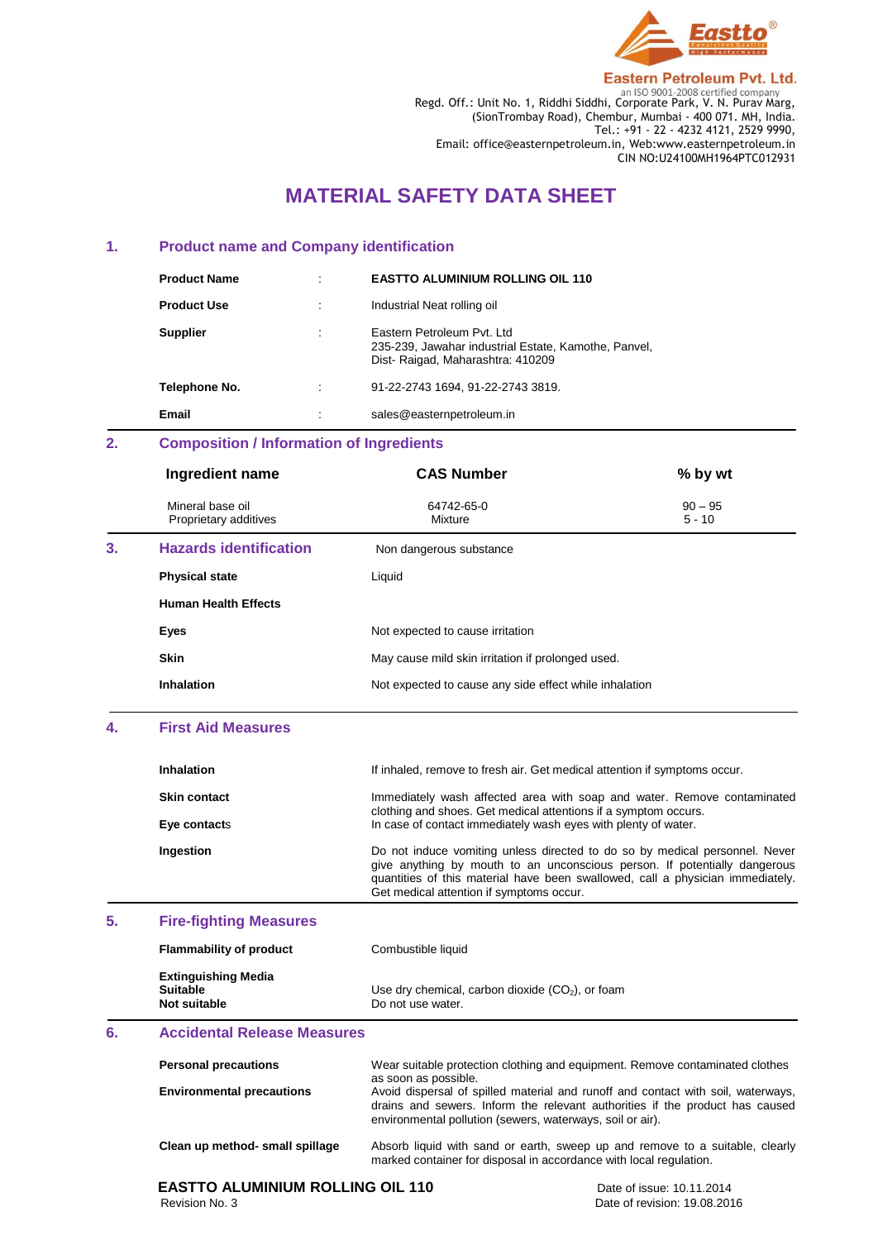

**Eastern Petroleum Pvt. Ltd.** Regd. Off.: Unit No. 1, Riddhi Siddhi, Corporate Park, V. N. Purav Marg,

(SionTrombay Road), Chembur, Mumbai - 400 071. MH, India. Tel.: +91 - 22 - 4232 4121, 2529 9990, Email: office@easternpetroleum.in, Web:www.easternpetroleum.in CIN NO:U24100MH1964PTC012931

# **MATERIAL SAFETY DATA SHEET**

## **1. Product name and Company identification**

| <b>Product Name</b> |   | <b>EASTTO ALUMINIUM ROLLING OIL 110</b>                                                                                 |
|---------------------|---|-------------------------------------------------------------------------------------------------------------------------|
| <b>Product Use</b>  |   | Industrial Neat rolling oil                                                                                             |
| <b>Supplier</b>     | ٠ | Eastern Petroleum Pyt. Ltd.<br>235-239, Jawahar industrial Estate, Kamothe, Panvel,<br>Dist-Raigad, Maharashtra: 410209 |
| Telephone No.       |   | 91-22-2743 1694, 91-22-2743 3819.                                                                                       |
| Email               |   | sales@easternpetroleum.in                                                                                               |

# **2. Composition / Information of Ingredients**

|    | Ingredient name                           | <b>CAS Number</b>                                      | % by wt               |
|----|-------------------------------------------|--------------------------------------------------------|-----------------------|
|    | Mineral base oil<br>Proprietary additives | 64742-65-0<br>Mixture                                  | $90 - 95$<br>$5 - 10$ |
| 3. | <b>Hazards identification</b>             | Non dangerous substance                                |                       |
|    | <b>Physical state</b>                     | Liquid                                                 |                       |
|    | <b>Human Health Effects</b>               |                                                        |                       |
|    | Eyes                                      | Not expected to cause irritation                       |                       |
|    | <b>Skin</b>                               | May cause mild skin irritation if prolonged used.      |                       |
|    | <b>Inhalation</b>                         | Not expected to cause any side effect while inhalation |                       |
| 4. | <b>First Aid Measures</b>                 |                                                        |                       |

| Inhalation          | If inhaled, remove to fresh air. Get medical attention if symptoms occur.                                                                                                                                                                                                              |
|---------------------|----------------------------------------------------------------------------------------------------------------------------------------------------------------------------------------------------------------------------------------------------------------------------------------|
| <b>Skin contact</b> | Immediately wash affected area with soap and water. Remove contaminated<br>clothing and shoes. Get medical attentions if a symptom occurs.                                                                                                                                             |
| Eye contacts        | In case of contact immediately wash eyes with plenty of water.                                                                                                                                                                                                                         |
| Ingestion           | Do not induce vomiting unless directed to do so by medical personnel. Never<br>give anything by mouth to an unconscious person. If potentially dangerous<br>quantities of this material have been swallowed, call a physician immediately.<br>Get medical attention if symptoms occur. |

## **5. Fire-fighting Measures**

| <b>Flammability of product</b>                                | Combustible liquid                                                      |
|---------------------------------------------------------------|-------------------------------------------------------------------------|
| <b>Extinguishing Media</b><br><b>Suitable</b><br>Not suitable | Use dry chemical, carbon dioxide $(CO2)$ , or foam<br>Do not use water. |

# **6. Accidental Release Measures**

| <b>Personal precautions</b>      | Wear suitable protection clothing and equipment. Remove contaminated clothes<br>as soon as possible.                                                                                                                          |
|----------------------------------|-------------------------------------------------------------------------------------------------------------------------------------------------------------------------------------------------------------------------------|
| <b>Environmental precautions</b> | Avoid dispersal of spilled material and runoff and contact with soil, waterways,<br>drains and sewers. Inform the relevant authorities if the product has caused<br>environmental pollution (sewers, waterways, soil or air). |
| Clean up method- small spillage  | Absorb liquid with sand or earth, sweep up and remove to a suitable, clearly<br>marked container for disposal in accordance with local regulation.                                                                            |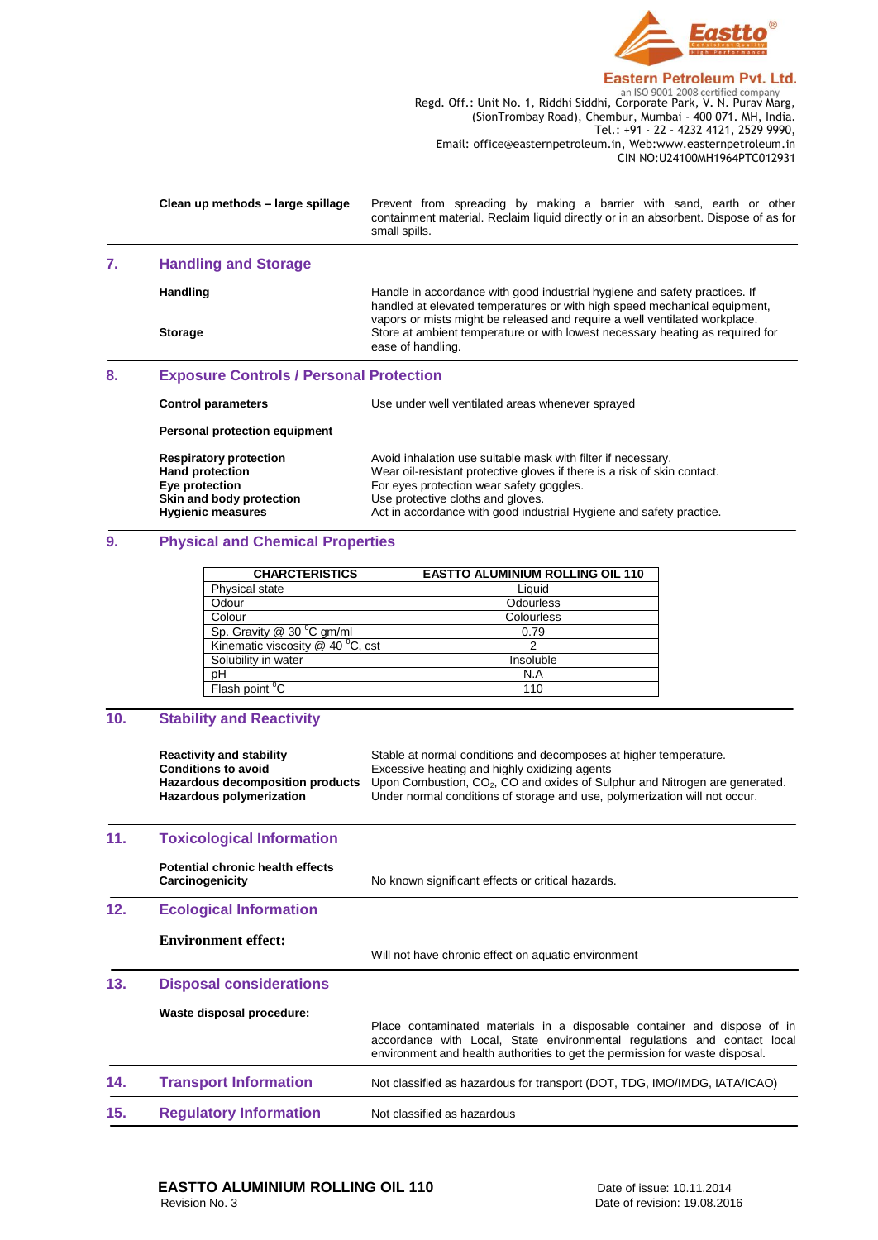

Regd. Off.: Unit No. 1, Riddhi Siddhi, Corporate Park, V. N. Purav Marg, (SionTrombay Road), Chembur, Mumbai - 400 071. MH, India. Tel.: +91 - 22 - 4232 4121, 2529 9990, Email: office@easternpetroleum.in, Web:www.easternpetroleum.in CIN NO:U24100MH1964PTC012931

|    | Clean up methods - large spillage                                                                                                 | Prevent from spreading by making a barrier with sand, earth or other<br>containment material. Reclaim liquid directly or in an absorbent. Dispose of as for<br>small spills.                                                                                                                     |  |
|----|-----------------------------------------------------------------------------------------------------------------------------------|--------------------------------------------------------------------------------------------------------------------------------------------------------------------------------------------------------------------------------------------------------------------------------------------------|--|
| 7. | <b>Handling and Storage</b>                                                                                                       |                                                                                                                                                                                                                                                                                                  |  |
|    | Handling                                                                                                                          | Handle in accordance with good industrial hygiene and safety practices. If<br>handled at elevated temperatures or with high speed mechanical equipment,<br>vapors or mists might be released and require a well ventilated workplace.                                                            |  |
|    | <b>Storage</b>                                                                                                                    | Store at ambient temperature or with lowest necessary heating as required for<br>ease of handling.                                                                                                                                                                                               |  |
| 8. | <b>Exposure Controls / Personal Protection</b>                                                                                    |                                                                                                                                                                                                                                                                                                  |  |
|    | <b>Control parameters</b>                                                                                                         | Use under well ventilated areas whenever sprayed                                                                                                                                                                                                                                                 |  |
|    | Personal protection equipment                                                                                                     |                                                                                                                                                                                                                                                                                                  |  |
|    | <b>Respiratory protection</b><br><b>Hand protection</b><br>Eye protection<br>Skin and body protection<br><b>Hygienic measures</b> | Avoid inhalation use suitable mask with filter if necessary.<br>Wear oil-resistant protective gloves if there is a risk of skin contact.<br>For eyes protection wear safety goggles.<br>Use protective cloths and gloves.<br>Act in accordance with good industrial Hygiene and safety practice. |  |
| 9. | <b>Physical and Chemical Properties</b>                                                                                           |                                                                                                                                                                                                                                                                                                  |  |

| <b>CHARCTERISTICS</b>                 | <b>EASTTO ALUMINIUM ROLLING OIL 110</b> |
|---------------------------------------|-----------------------------------------|
| Physical state                        | Liquid                                  |
| Odour                                 | Odourless                               |
| Colour                                | Colourless                              |
| Sp. Gravity @ 30 °C gm/ml             | 0.79                                    |
| Kinematic viscosity $@$ 40 $°C$ , cst | っ                                       |
| Solubility in water                   | Insoluble                               |
| pH                                    | N.A                                     |
| Flash point <sup>°</sup> C            | 110                                     |

# **10. Stability and Reactivity**

|     | <b>Reactivity and stability</b><br><b>Conditions to avoid</b><br>Hazardous decomposition products<br>Hazardous polymerization | Stable at normal conditions and decomposes at higher temperature.<br>Excessive heating and highly oxidizing agents<br>Upon Combustion, CO <sub>2</sub> , CO and oxides of Sulphur and Nitrogen are generated.<br>Under normal conditions of storage and use, polymerization will not occur. |
|-----|-------------------------------------------------------------------------------------------------------------------------------|---------------------------------------------------------------------------------------------------------------------------------------------------------------------------------------------------------------------------------------------------------------------------------------------|
| 11. | <b>Toxicological Information</b>                                                                                              |                                                                                                                                                                                                                                                                                             |
|     | Potential chronic health effects<br>Carcinogenicity                                                                           | No known significant effects or critical hazards.                                                                                                                                                                                                                                           |
| 12. | <b>Ecological Information</b>                                                                                                 |                                                                                                                                                                                                                                                                                             |
|     | <b>Environment effect:</b>                                                                                                    | Will not have chronic effect on aquatic environment                                                                                                                                                                                                                                         |
| 13. | <b>Disposal considerations</b>                                                                                                |                                                                                                                                                                                                                                                                                             |
|     | Waste disposal procedure:                                                                                                     | Place contaminated materials in a disposable container and dispose of in<br>accordance with Local, State environmental regulations and contact local<br>environment and health authorities to get the permission for waste disposal.                                                        |
| 14. | <b>Transport Information</b>                                                                                                  | Not classified as hazardous for transport (DOT, TDG, IMO/IMDG, IATA/ICAO)                                                                                                                                                                                                                   |
| 15. | <b>Regulatory Information</b>                                                                                                 | Not classified as hazardous                                                                                                                                                                                                                                                                 |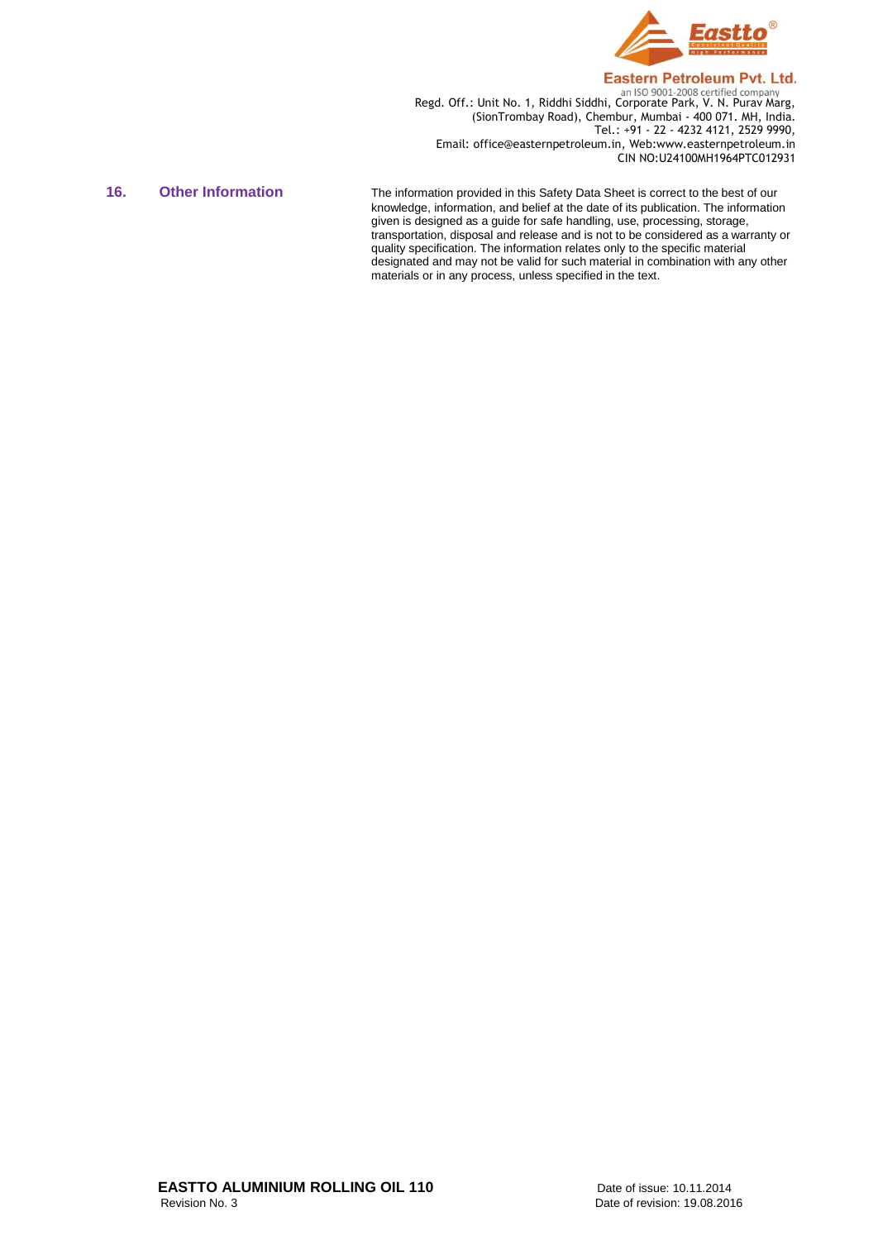

**Regd. Off.: Unit No. 1, Riddhi Siddhi, Corporate Park, V. N. Purav Marg,** Regd. Off.: Unit No. 1, Riddhi Siddhi, Corporate Park, V. N. Purav Marg, (SionTrombay Road), Chembur, Mumbai - 400 071. MH, India. Tel.: +91 - 22 - 4232 4121, 2529 9990, Email: office@easternpetroleum.in, Web:www.easternpetroleum.in CIN NO:U24100MH1964PTC012931

16. Other Information The information provided in this Safety Data Sheet is correct to the best of our knowledge, information, and belief at the date of its publication. The information given is designed as a guide for safe handling, use, processing, storage, transportation, disposal and release and is not to be considered as a warranty or quality specification. The information relates only to the specific material designated and may not be valid for such material in combination with any other materials or in any process, unless specified in the text.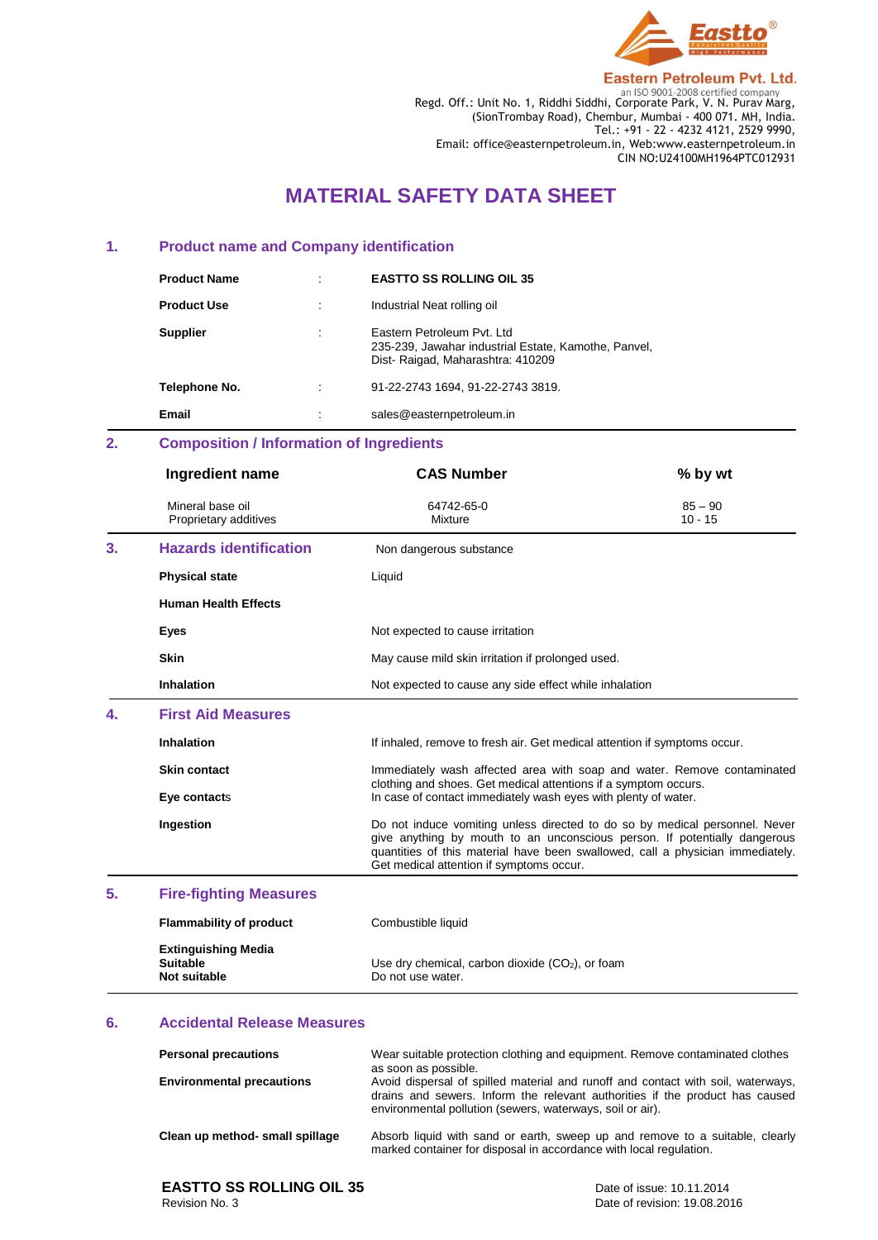

Regd. Off.: Unit No. 1, Riddhi Siddhi, Corporate Park, V. N. Purav Marg, (SionTrombay Road), Chembur, Mumbai - 400 071. MH, India. Tel.: +91 - 22 - 4232 4121, 2529 9990, Email: office@easternpetroleum.in, Web:www.easternpetroleum.in CIN NO:U24100MH1964PTC012931

# **MATERIAL SAFETY DATA SHEET**

### **1. Product name and Company identification**

| <b>Product Name</b> | ٠ | <b>EASTTO SS ROLLING OIL 35</b>                                                                                         |
|---------------------|---|-------------------------------------------------------------------------------------------------------------------------|
| <b>Product Use</b>  | ٠ | Industrial Neat rolling oil                                                                                             |
| <b>Supplier</b>     | ٠ | Eastern Petroleum Pyt. Ltd.<br>235-239, Jawahar industrial Estate, Kamothe, Panvel,<br>Dist-Raigad, Maharashtra: 410209 |
| Telephone No.       | ٠ | 91-22-2743 1694. 91-22-2743 3819.                                                                                       |
| Email               |   | sales@easternpetroleum.in                                                                                               |

# **2. Composition / Information of Ingredients**

|    | Ingredient name                                                      | <b>CAS Number</b>                                                                                                                                                                                                                                                                      | % by wt                |
|----|----------------------------------------------------------------------|----------------------------------------------------------------------------------------------------------------------------------------------------------------------------------------------------------------------------------------------------------------------------------------|------------------------|
|    | Mineral base oil<br>Proprietary additives                            | 64742-65-0<br>Mixture                                                                                                                                                                                                                                                                  | $85 - 90$<br>$10 - 15$ |
| 3. | <b>Hazards identification</b>                                        | Non dangerous substance                                                                                                                                                                                                                                                                |                        |
|    | <b>Physical state</b>                                                | Liquid                                                                                                                                                                                                                                                                                 |                        |
|    | <b>Human Health Effects</b>                                          |                                                                                                                                                                                                                                                                                        |                        |
|    | Eyes                                                                 | Not expected to cause irritation                                                                                                                                                                                                                                                       |                        |
|    | <b>Skin</b>                                                          | May cause mild skin irritation if prolonged used.                                                                                                                                                                                                                                      |                        |
|    | <b>Inhalation</b>                                                    | Not expected to cause any side effect while inhalation                                                                                                                                                                                                                                 |                        |
| 4. | <b>First Aid Measures</b>                                            |                                                                                                                                                                                                                                                                                        |                        |
|    | <b>Inhalation</b>                                                    | If inhaled, remove to fresh air. Get medical attention if symptoms occur.                                                                                                                                                                                                              |                        |
|    | <b>Skin contact</b>                                                  | Immediately wash affected area with soap and water. Remove contaminated<br>clothing and shoes. Get medical attentions if a symptom occurs.                                                                                                                                             |                        |
|    | Eye contacts                                                         | In case of contact immediately wash eyes with plenty of water.                                                                                                                                                                                                                         |                        |
|    | Ingestion                                                            | Do not induce vomiting unless directed to do so by medical personnel. Never<br>give anything by mouth to an unconscious person. If potentially dangerous<br>quantities of this material have been swallowed, call a physician immediately.<br>Get medical attention if symptoms occur. |                        |
| 5. | <b>Fire-fighting Measures</b>                                        |                                                                                                                                                                                                                                                                                        |                        |
|    | <b>Flammability of product</b>                                       | Combustible liquid                                                                                                                                                                                                                                                                     |                        |
|    | <b>Extinguishing Media</b><br><b>Suitable</b><br><b>Not suitable</b> | Use dry chemical, carbon dioxide $(CO2)$ , or foam<br>Do not use water.                                                                                                                                                                                                                |                        |

### **6. Accidental Release Measures**

| <b>Personal precautions</b>      | Wear suitable protection clothing and equipment. Remove contaminated clothes<br>as soon as possible.                                                                                                                          |
|----------------------------------|-------------------------------------------------------------------------------------------------------------------------------------------------------------------------------------------------------------------------------|
| <b>Environmental precautions</b> | Avoid dispersal of spilled material and runoff and contact with soil, waterways,<br>drains and sewers. Inform the relevant authorities if the product has caused<br>environmental pollution (sewers, waterways, soil or air). |
| Clean up method- small spillage  | Absorb liquid with sand or earth, sweep up and remove to a suitable, clearly<br>marked container for disposal in accordance with local regulation.                                                                            |

# **EASTTO SS ROLLING OIL 35**<br>
Revision No. 3<br>
Date of revision: 19.08.20

Date of revision: 19.08.2016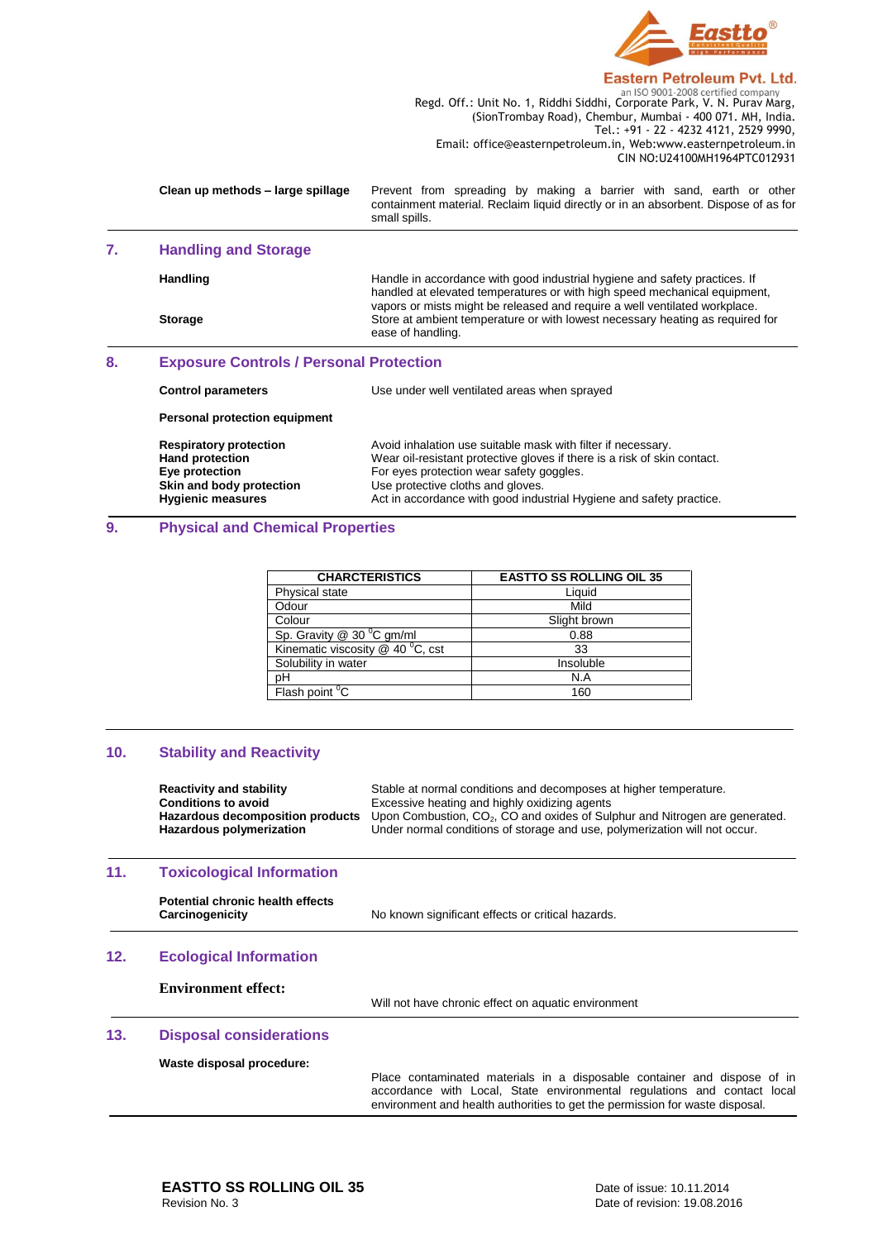

Regd. Off.: Unit No. 1, Riddhi Siddhi, Corporate Park, V. N. Purav Marg, (SionTrombay Road), Chembur, Mumbai - 400 071. MH, India. Tel.: +91 - 22 - 4232 4121, 2529 9990, Email: office@easternpetroleum.in, Web:www.easternpetroleum.in CIN NO:U24100MH1964PTC012931

| Clean up methods - large spillage | Prevent from spreading by making a barrier with sand, earth or other<br>containment material. Reclaim liquid directly or in an absorbent. Dispose of as for<br>small spills. |
|-----------------------------------|------------------------------------------------------------------------------------------------------------------------------------------------------------------------------|
|                                   |                                                                                                                                                                              |

## **7. Handling and Storage**

Handling **Handle** in accordance with good industrial hygiene and safety practices. If handled at elevated temperatures or with high speed mechanical equipment, vapors or mists might be released and require a well ventilated workplace. **Storage** Store at ambient temperature or with lowest necessary heating as required for ease of handling.

## **8. Exposure Controls / Personal Protection**

| <b>Control parameters</b>     | Use under well ventilated areas when sprayed                             |
|-------------------------------|--------------------------------------------------------------------------|
| Personal protection equipment |                                                                          |
| <b>Respiratory protection</b> | Avoid inhalation use suitable mask with filter if necessary.             |
| <b>Hand protection</b>        | Wear oil-resistant protective gloves if there is a risk of skin contact. |
| Eye protection                | For eyes protection wear safety goggles.                                 |
| Skin and body protection      | Use protective cloths and gloves.                                        |
| <b>Hygienic measures</b>      | Act in accordance with good industrial Hygiene and safety practice.      |

## **9. Physical and Chemical Properties**

| <b>CHARCTERISTICS</b>            | <b>EASTTO SS ROLLING OIL 35</b> |
|----------------------------------|---------------------------------|
| Physical state                   | Liquid                          |
| Odour                            | Mild                            |
| Colour                           | Slight brown                    |
| Sp. Gravity @ 30 °C gm/ml        | 0.88                            |
| Kinematic viscosity @ 40 °C, cst | 33                              |
| Solubility in water              | Insoluble                       |
| pH                               | N.A                             |
| Flash point ${}^{0}C$            | 160                             |

### **10. Stability and Reactivity**

|     | <b>Reactivity and stability</b><br><b>Conditions to avoid</b><br><b>Hazardous decomposition products</b><br><b>Hazardous polymerization</b> | Stable at normal conditions and decomposes at higher temperature.<br>Excessive heating and highly oxidizing agents<br>Upon Combustion, CO <sub>2</sub> , CO and oxides of Sulphur and Nitrogen are generated.<br>Under normal conditions of storage and use, polymerization will not occur. |
|-----|---------------------------------------------------------------------------------------------------------------------------------------------|---------------------------------------------------------------------------------------------------------------------------------------------------------------------------------------------------------------------------------------------------------------------------------------------|
| 11. | <b>Toxicological Information</b>                                                                                                            |                                                                                                                                                                                                                                                                                             |
|     | Potential chronic health effects<br>Carcinogenicity                                                                                         | No known significant effects or critical hazards.                                                                                                                                                                                                                                           |
| 12. | <b>Ecological Information</b>                                                                                                               |                                                                                                                                                                                                                                                                                             |
|     | <b>Environment effect:</b>                                                                                                                  | Will not have chronic effect on aquatic environment                                                                                                                                                                                                                                         |
| 13. | <b>Disposal considerations</b>                                                                                                              |                                                                                                                                                                                                                                                                                             |
|     | Waste disposal procedure:                                                                                                                   | Place contaminated materials in a disposable container and dispose of in<br>accordance with Local, State environmental regulations and contact local<br>environment and health authorities to get the permission for waste disposal.                                                        |